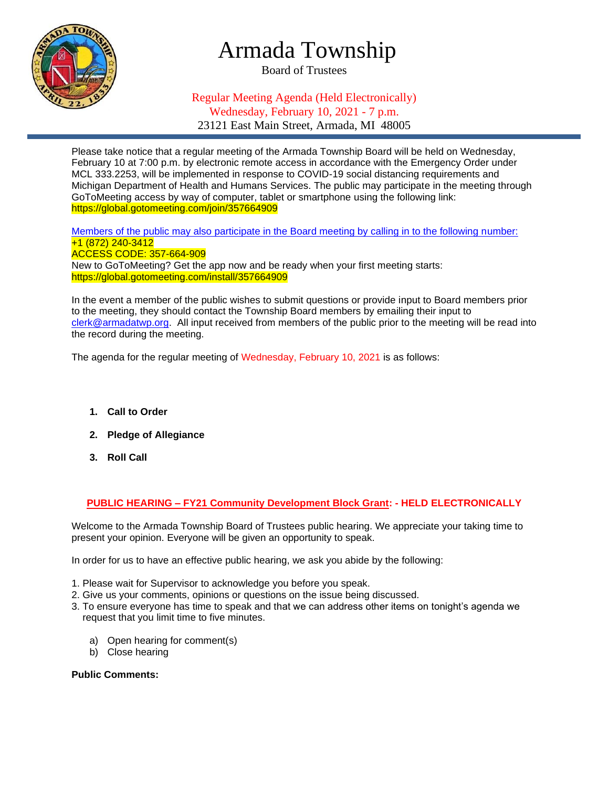

## Armada Township

Board of Trustees

## Regular Meeting Agenda (Held Electronically) Wednesday, February 10, 2021 - 7 p.m. 23121 East Main Street, Armada, MI 48005

Please take notice that a regular meeting of the Armada Township Board will be held on Wednesday, February 10 at 7:00 p.m. by electronic remote access in accordance with the Emergency Order under MCL 333.2253, will be implemented in response to COVID-19 social distancing requirements and Michigan Department of Health and Humans Services. The public may participate in the meeting through GoToMeeting access by way of computer, tablet or smartphone using the following link: https://global.gotomeeting.com/join/357664909

Members of the public may also participate in the Board meeting by calling in to the following number: +1 (872) 240-3412 ACCESS CODE: 357-664-909 New to GoToMeeting? Get the app now and be ready when your first meeting starts: https://global.gotomeeting.com/install/357664909

In the event a member of the public wishes to submit questions or provide input to Board members prior to the meeting, they should contact the Township Board members by emailing their input to [clerk@armadatwp.org.](mailto:clerk@armadatwp.org) All input received from members of the public prior to the meeting will be read into the record during the meeting.

The agenda for the regular meeting of Wednesday, February 10, 2021 is as follows:

- **1. Call to Order**
- **2. Pledge of Allegiance**
- **3. Roll Call**

**PUBLIC HEARING – FY21 Community Development Block Grant: - HELD ELECTRONICALLY**

Welcome to the Armada Township Board of Trustees public hearing. We appreciate your taking time to present your opinion. Everyone will be given an opportunity to speak.

In order for us to have an effective public hearing, we ask you abide by the following:

- 1. Please wait for Supervisor to acknowledge you before you speak.
- 2. Give us your comments, opinions or questions on the issue being discussed.
- 3. To ensure everyone has time to speak and that we can address other items on tonight's agenda we request that you limit time to five minutes.
	- a) Open hearing for comment(s)
	- b) Close hearing

#### **Public Comments:**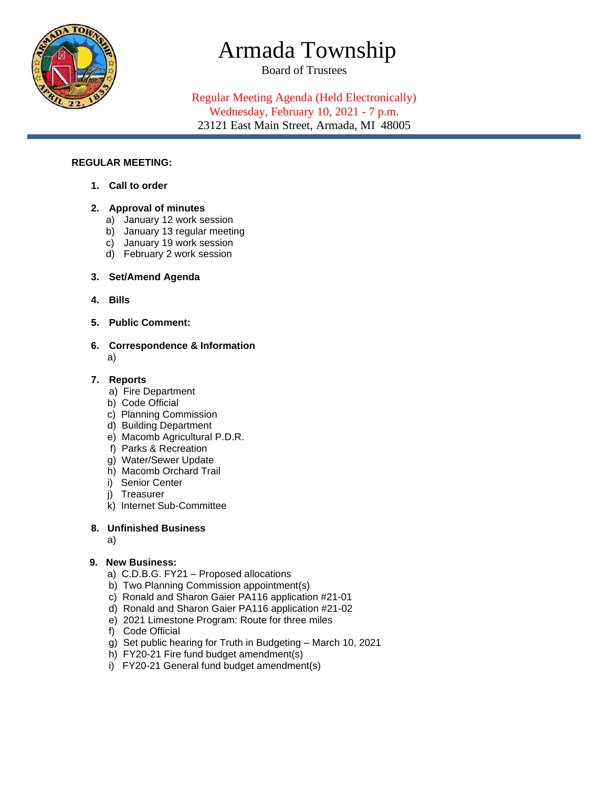

# Armada Township

Board of Trustees

Regular Meeting Agenda (Held Electronically) Wednesday, February 10, 2021 - 7 p.m. 23121 East Main Street, Armada, MI 48005

#### **REGULAR MEETING:**

**1. Call to order**

### **2. Approval of minutes**

- a) January 12 work session
- b) January 13 regular meeting
- c) January 19 work session
- d) February 2 work session

### **3. Set/Amend Agenda**

- **4. Bills**
- **5. Public Comment:**
- **6. Correspondence & Information**  a)

#### **7. Reports**

- a) Fire Department
- b) Code Official
- c) Planning Commission
- d) Building Department
- e) Macomb Agricultural P.D.R.
- f) Parks & Recreation
- g) Water/Sewer Update
- h) Macomb Orchard Trail
- i) Senior Center
- j) Treasurer
- k) Internet Sub-Committee

#### **8. Unfinished Business**

a)

#### **9. New Business:**

- a) C.D.B.G. FY21 Proposed allocations
- b) Two Planning Commission appointment(s)
- c) Ronald and Sharon Gaier PA116 application #21-01
- d) Ronald and Sharon Gaier PA116 application #21-02
- e) 2021 Limestone Program: Route for three miles
- f) Code Official
- g) Set public hearing for Truth in Budgeting March 10, 2021
- h) FY20-21 Fire fund budget amendment(s)
- i) FY20-21 General fund budget amendment(s)